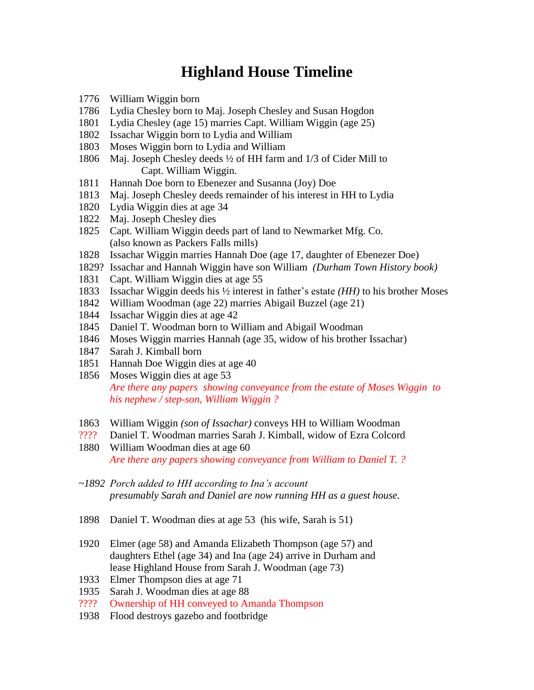## **Highland House Timeline**

- William Wiggin born
- Lydia Chesley born to Maj. Joseph Chesley and Susan Hogdon
- Lydia Chesley (age 15) marries Capt. William Wiggin (age 25)
- Issachar Wiggin born to Lydia and William
- Moses Wiggin born to Lydia and William
- Maj. Joseph Chesley deeds ½ of HH farm and 1/3 of Cider Mill to Capt. William Wiggin.
- Hannah Doe born to Ebenezer and Susanna (Joy) Doe
- Maj. Joseph Chesley deeds remainder of his interest in HH to Lydia
- Lydia Wiggin dies at age 34
- Maj. Joseph Chesley dies
- Capt. William Wiggin deeds part of land to Newmarket Mfg. Co. (also known as Packers Falls mills)
- Issachar Wiggin marries Hannah Doe (age 17, daughter of Ebenezer Doe)
- 1829? Issachar and Hannah Wiggin have son William *(Durham Town History book)*
- Capt. William Wiggin dies at age 55
- Issachar Wiggin deeds his ½ interest in father's estate *(HH)* to his brother Moses
- William Woodman (age 22) marries Abigail Buzzel (age 21)
- Issachar Wiggin dies at age 42
- Daniel T. Woodman born to William and Abigail Woodman
- Moses Wiggin marries Hannah (age 35, widow of his brother Issachar)
- Sarah J. Kimball born
- Hannah Doe Wiggin dies at age 40
- Moses Wiggin dies at age 53 *Are there any papers showing conveyance from the estate of Moses Wiggin to his nephew / step-son, William Wiggin ?*
- William Wiggin *(son of Issachar)* conveys HH to William Woodman
- ???? Daniel T. Woodman marries Sarah J. Kimball, widow of Ezra Colcord
- William Woodman dies at age 60 *Are there any papers showing conveyance from William to Daniel T. ?*
- *~1892 Porch added to HH according to Ina's account presumably Sarah and Daniel are now running HH as a guest house.*
- Daniel T. Woodman dies at age 53 (his wife, Sarah is 51)
- Elmer (age 58) and Amanda Elizabeth Thompson (age 57) and daughters Ethel (age 34) and Ina (age 24) arrive in Durham and lease Highland House from Sarah J. Woodman (age 73)
- Elmer Thompson dies at age 71
- Sarah J. Woodman dies at age 88
- ???? Ownership of HH conveyed to Amanda Thompson
- Flood destroys gazebo and footbridge